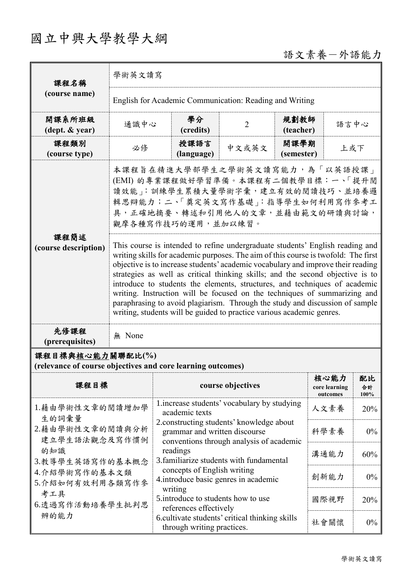# 國立中興大學教學大綱

 $\blacksquare$ 

# 語文素養一外語能力

| 課程名稱<br>(course name)                      | 學術英文讀寫                                                                                                                                                                                                                                                                                                                                                                                                                                                                                                                                                                                                                                                        |                    |                |                    |      |  |
|--------------------------------------------|---------------------------------------------------------------------------------------------------------------------------------------------------------------------------------------------------------------------------------------------------------------------------------------------------------------------------------------------------------------------------------------------------------------------------------------------------------------------------------------------------------------------------------------------------------------------------------------------------------------------------------------------------------------|--------------------|----------------|--------------------|------|--|
|                                            | English for Academic Communication: Reading and Writing                                                                                                                                                                                                                                                                                                                                                                                                                                                                                                                                                                                                       |                    |                |                    |      |  |
| 開課系所班級<br>$(\text{dept.} \& \text{ year})$ | 通識中心                                                                                                                                                                                                                                                                                                                                                                                                                                                                                                                                                                                                                                                          | 學分<br>(credits)    | $\overline{2}$ | 規劃教師<br>(teacher)  | 語言中心 |  |
| 課程類別<br>(course type)                      | 必修                                                                                                                                                                                                                                                                                                                                                                                                                                                                                                                                                                                                                                                            | 授課語言<br>(language) | 中文或英文          | 開課學期<br>(semester) | 上或下  |  |
| 課程簡述<br>(course description)               | 本課程旨在精進大學部學生之學術英文讀寫能力,為「以英語授課」<br>(EMI) 的專業課程做好學習準備。本課程有二個教學目標:一、「提升閱<br>讀效能」:訓練學生累積大量學術字彙,建立有效的閱讀技巧、並培養邏<br>輯思辯能力;二、「奠定英文寫作基礎」:指導學生如何利用寫作參考工<br>具,正確地摘要、轉述和引用他人的文章,並藉由範文的研讀與討論,<br>觀摩各種寫作技巧的運用,並加以練習。                                                                                                                                                                                                                                                                                                                                                                                                                                                        |                    |                |                    |      |  |
|                                            | This course is intended to refine undergraduate students' English reading and<br>writing skills for academic purposes. The aim of this course is twofold: The first<br>objective is to increase students' academic vocabulary and improve their reading<br>strategies as well as critical thinking skills; and the second objective is to<br>introduce to students the elements, structures, and techniques of academic<br>writing. Instruction will be focused on the techniques of summarizing and<br>paraphrasing to avoid plagiarism. Through the study and discussion of sample<br>writing, students will be guided to practice various academic genres. |                    |                |                    |      |  |
| 先修課程<br>(prerequisites)                    | None<br>無                                                                                                                                                                                                                                                                                                                                                                                                                                                                                                                                                                                                                                                     |                    |                |                    |      |  |

## 課程目標與核心能力關聯配比**(%)**

**(relevance of course objectives and core learning outcomes)**

| 課程目標                                                                                                                       | course objectives                                                                                                                                                                                                                                                                                                                                                                                                                                                                     | 核心能力<br>core learning<br>outcomes | 配比<br>合計<br>100% |
|----------------------------------------------------------------------------------------------------------------------------|---------------------------------------------------------------------------------------------------------------------------------------------------------------------------------------------------------------------------------------------------------------------------------------------------------------------------------------------------------------------------------------------------------------------------------------------------------------------------------------|-----------------------------------|------------------|
| 1.藉由學術性文章的閱讀增加學<br>生的詞彙量<br>2.藉由學術性文章的閱讀與分析<br>建立學生語法觀念及寫作慣例<br>的知識<br>3.教導學生英語寫作的基本概念<br>4.介紹學術寫作的基本文類<br>5.介紹如何有效利用各類寫作參 | 1. increase students' vocabulary by studying<br>academic texts<br>2. constructing students' knowledge about<br>grammar and written discourse<br>conventions through analysis of academic<br>readings<br>3. familiarize students with fundamental<br>concepts of English writing<br>4. introduce basic genres in academic<br>writing<br>5. introduce to students how to use<br>references effectively<br>6. cultivate students' critical thinking skills<br>through writing practices. | 人文素養                              | 20%              |
|                                                                                                                            |                                                                                                                                                                                                                                                                                                                                                                                                                                                                                       | 科學素養                              | $0\%$            |
|                                                                                                                            |                                                                                                                                                                                                                                                                                                                                                                                                                                                                                       | 溝通能力                              | 60%              |
|                                                                                                                            |                                                                                                                                                                                                                                                                                                                                                                                                                                                                                       | 創新能力                              | $0\%$            |
| 考工具<br>6.透過寫作活動培養學生批判思                                                                                                     |                                                                                                                                                                                                                                                                                                                                                                                                                                                                                       | 國際視野                              | 20%              |
| 辨的能力                                                                                                                       |                                                                                                                                                                                                                                                                                                                                                                                                                                                                                       | 社會關懷                              | $0\%$            |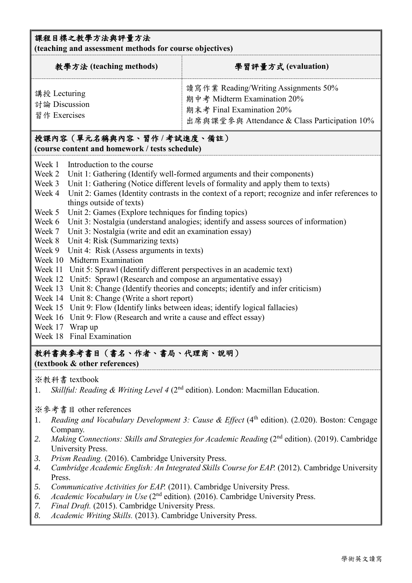#### 課程目標之教學方法與評量方法

**(teaching and assessment methods for course objectives)**

| 教學方法 (teaching methods)                       | 學習評量方式 (evaluation)                                                                                                                              |
|-----------------------------------------------|--------------------------------------------------------------------------------------------------------------------------------------------------|
| 講授 Lecturing<br>討論 Discussion<br>習作 Exercises | 讀寫作業 Reading/Writing Assignments 50%<br>期中考 Midterm Examination 20%<br>期末考 Final Examination 20%<br>出席與課堂參與 Attendance & Class Participation 10% |

#### 授課內容(單元名稱與內容、習作 **/** 考試進度、備註) **(course content and homework / tests schedule)**

- Week 1 Introduction to the course
- Week 2 Unit 1: Gathering (Identify well-formed arguments and their components)
- Week 3 Unit 1: Gathering (Notice different levels of formality and apply them to texts)
- Week 4 Unit 2: Games (Identity contrasts in the context of a report; recognize and infer references to things outside of texts)
- Week 5 Unit 2: Games (Explore techniques for finding topics)
- Week 6 Unit 3: Nostalgia (understand analogies; identify and assess sources of information)
- Week 7 Unit 3: Nostalgia (write and edit an examination essay)
- Week 8 Unit 4: Risk (Summarizing texts)
- Week 9 Unit 4: Risk (Assess arguments in texts)
- Week 10 Midterm Examination
- Week 11 Unit 5: Sprawl (Identify different perspectives in an academic text)
- Week 12 Unit5: Sprawl (Research and compose an argumentative essay)
- Week 13 Unit 8: Change (Identify theories and concepts; identify and infer criticism)
- Week 14 Unit 8: Change (Write a short report)
- Week 15 Unit 9: Flow (Identify links between ideas; identify logical fallacies)
- Week 16 Unit 9: Flow (Research and write a cause and effect essay)
- Week 17 Wrap up
- Week 18 Final Examination

#### 教科書與參考書目(書名、作者、書局、代理商、說明)

#### **(textbook & other references)**

#### ※教科書 textbook

1. *Skillful: Reading & Writing Level 4* (2nd edition). London: Macmillan Education.

#### ※參考書目 other references

- 1. *Reading and Vocabulary Development 3: Cause & Effect* (4<sup>th</sup> edition). (2.020). Boston: Cengage Company.
- 2. *Making Connections: Skills and Strategies for Academic Reading* (2<sup>nd</sup> edition). (2019). Cambridge University Press.
- *3. Prism Reading.* (2016). Cambridge University Press.
- 4. *Cambridge Academic English: An Integrated Skills Course for EAP.* (2012). Cambridge University Press.
- *5. Communicative Activities for EAP.* (2011). Cambridge University Press.
- *6. Academic Vocabulary in Use* (2nd edition)*.* (2016). Cambridge University Press.
- *7. Final Draft.* (2015). Cambridge University Press.
- *8. Academic Writing Skills.* (2013). Cambridge University Press.